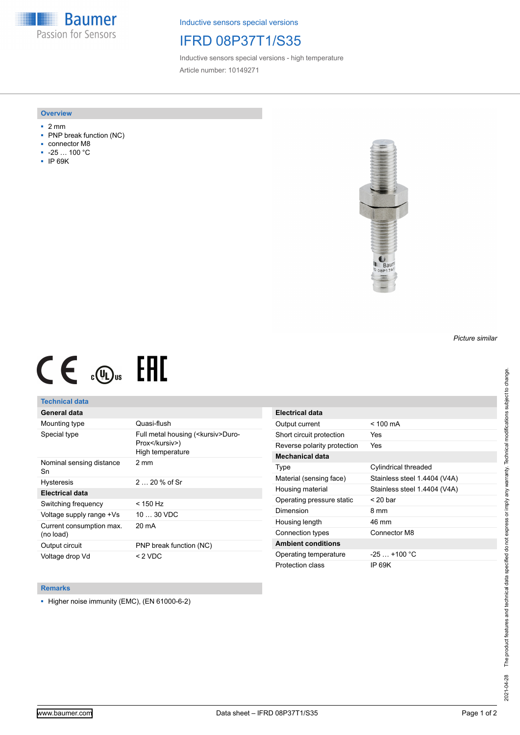**Baumer** Passion for Sensors

Inductive sensors special versions

## IFRD 08P37T1/S35

Inductive sensors special versions - high temperature Article number: 10149271

#### **Overview**

- 2 mm
- PNP break function (NC)
- connector M8
- -25 … 100 °C
- IP 69K



# $CE \mathcal{L}$  ( $\mathcal{L}$  and  $SE$

## **Technical data**

## **General data**

| Mounting type                         | Quasi-flush                                                                |
|---------------------------------------|----------------------------------------------------------------------------|
| Special type                          | Full metal housing ( <kursiv>Duro-<br/>Prox</kursiv> )<br>High temperature |
| Nominal sensing distance<br>Sn        | $2 \text{ mm}$                                                             |
| <b>Hysteresis</b>                     | $220%$ of Sr                                                               |
| <b>Electrical data</b>                |                                                                            |
| Switching frequency                   | < 150 Hz                                                                   |
| Voltage supply range +Vs              | $1030$ VDC                                                                 |
| Current consumption max.<br>(no load) | 20 mA                                                                      |
| Output circuit                        | PNP break function (NC)                                                    |
| Voltage drop Vd                       | $<$ 2 VDC                                                                  |

| <b>Electrical data</b>      |                              |
|-----------------------------|------------------------------|
| Output current              | $< 100 \text{ mA}$           |
| Short circuit protection    | Yes                          |
| Reverse polarity protection | Yes                          |
| Mechanical data             |                              |
| Type                        | Cylindrical threaded         |
| Material (sensing face)     | Stainless steel 1.4404 (V4A) |
| Housing material            | Stainless steel 1.4404 (V4A) |
| Operating pressure static   | $<$ 20 bar                   |
| Dimension                   | 8 mm                         |
| Housing length              | 46 mm                        |
| Connection types            | Connector M8                 |
| <b>Ambient conditions</b>   |                              |
| Operating temperature       | $-25$ $+100$ °C              |
| Protection class            | IP 69K                       |

#### **Remarks**

■ Higher noise immunity (EMC), (EN 61000-6-2)

*Picture similar*